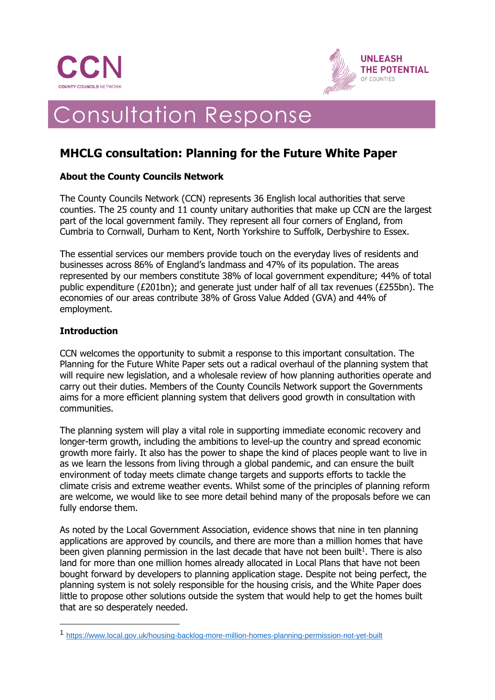



# Consultation Response

## **MHCLG consultation: Planning for the Future White Paper**

## **About the County Councils Network**

The County Councils Network (CCN) represents 36 English local authorities that serve counties. The 25 county and 11 county unitary authorities that make up CCN are the largest part of the local government family. They represent all four corners of England, from Cumbria to Cornwall, Durham to Kent, North Yorkshire to Suffolk, Derbyshire to Essex.

The essential services our members provide touch on the everyday lives of residents and businesses across 86% of England's landmass and 47% of its population. The areas represented by our members constitute 38% of local government expenditure; 44% of total public expenditure (£201bn); and generate just under half of all tax revenues (£255bn). The economies of our areas contribute 38% of Gross Value Added (GVA) and 44% of employment.

## **Introduction**

CCN welcomes the opportunity to submit a response to this important consultation. The Planning for the Future White Paper sets out a radical overhaul of the planning system that will require new legislation, and a wholesale review of how planning authorities operate and carry out their duties. Members of the County Councils Network support the Governments aims for a more efficient planning system that delivers good growth in consultation with communities.

The planning system will play a vital role in supporting immediate economic recovery and longer-term growth, including the ambitions to level-up the country and spread economic growth more fairly. It also has the power to shape the kind of places people want to live in as we learn the lessons from living through a global pandemic, and can ensure the built environment of today meets climate change targets and supports efforts to tackle the climate crisis and extreme weather events. Whilst some of the principles of planning reform are welcome, we would like to see more detail behind many of the proposals before we can fully endorse them.

As noted by the Local Government Association, evidence shows that nine in ten planning applications are approved by councils, and there are more than a million homes that have been given planning permission in the last decade that have not been built<sup>1</sup>. There is also land for more than one million homes already allocated in Local Plans that have not been bought forward by developers to planning application stage. Despite not being perfect, the planning system is not solely responsible for the housing crisis, and the White Paper does little to propose other solutions outside the system that would help to get the homes built that are so desperately needed.

<sup>1</sup> <https://www.local.gov.uk/housing-backlog-more-million-homes-planning-permission-not-yet-built>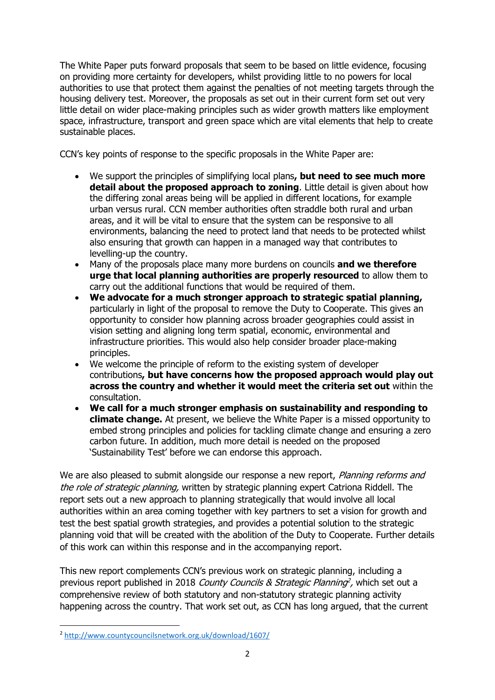The White Paper puts forward proposals that seem to be based on little evidence, focusing on providing more certainty for developers, whilst providing little to no powers for local authorities to use that protect them against the penalties of not meeting targets through the housing delivery test. Moreover, the proposals as set out in their current form set out very little detail on wider place-making principles such as wider growth matters like employment space, infrastructure, transport and green space which are vital elements that help to create sustainable places.

CCN's key points of response to the specific proposals in the White Paper are:

- We support the principles of simplifying local plans**, but need to see much more detail about the proposed approach to zoning**. Little detail is given about how the differing zonal areas being will be applied in different locations, for example urban versus rural. CCN member authorities often straddle both rural and urban areas, and it will be vital to ensure that the system can be responsive to all environments, balancing the need to protect land that needs to be protected whilst also ensuring that growth can happen in a managed way that contributes to levelling-up the country.
- Many of the proposals place many more burdens on councils **and we therefore urge that local planning authorities are properly resourced** to allow them to carry out the additional functions that would be required of them.
- **We advocate for a much stronger approach to strategic spatial planning,**  particularly in light of the proposal to remove the Duty to Cooperate. This gives an opportunity to consider how planning across broader geographies could assist in vision setting and aligning long term spatial, economic, environmental and infrastructure priorities. This would also help consider broader place-making principles.
- We welcome the principle of reform to the existing system of developer contributions**, but have concerns how the proposed approach would play out across the country and whether it would meet the criteria set out** within the consultation.
- **We call for a much stronger emphasis on sustainability and responding to climate change.** At present, we believe the White Paper is a missed opportunity to embed strong principles and policies for tackling climate change and ensuring a zero carbon future. In addition, much more detail is needed on the proposed 'Sustainability Test' before we can endorse this approach.

We are also pleased to submit alongside our response a new report, Planning reforms and the role of strategic planning, written by strategic planning expert Catriona Riddell. The report sets out a new approach to planning strategically that would involve all local authorities within an area coming together with key partners to set a vision for growth and test the best spatial growth strategies, and provides a potential solution to the strategic planning void that will be created with the abolition of the Duty to Cooperate. Further details of this work can within this response and in the accompanying report.

This new report complements CCN's previous work on strategic planning, including a previous report published in 2018 County Councils & Strategic Planning<sup>2</sup>, which set out a comprehensive review of both statutory and non-statutory strategic planning activity happening across the country. That work set out, as CCN has long argued, that the current

<sup>2</sup> <http://www.countycouncilsnetwork.org.uk/download/1607/>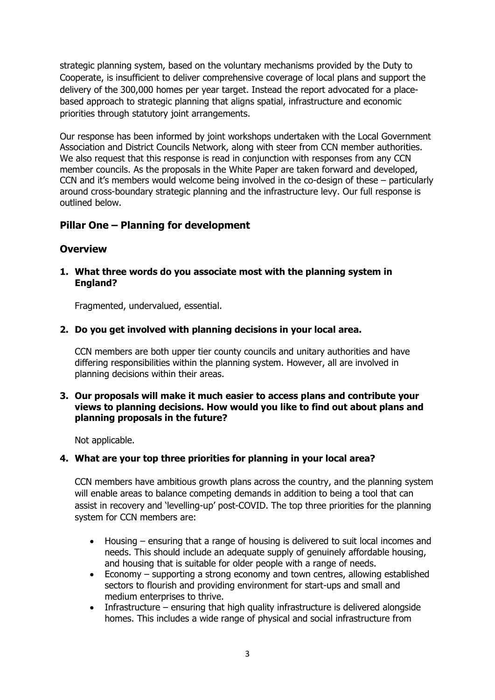strategic planning system, based on the voluntary mechanisms provided by the Duty to Cooperate, is insufficient to deliver comprehensive coverage of local plans and support the delivery of the 300,000 homes per year target. Instead the report advocated for a placebased approach to strategic planning that aligns spatial, infrastructure and economic priorities through statutory joint arrangements.

Our response has been informed by joint workshops undertaken with the Local Government Association and District Councils Network, along with steer from CCN member authorities. We also request that this response is read in conjunction with responses from any CCN member councils. As the proposals in the White Paper are taken forward and developed, CCN and it's members would welcome being involved in the co-design of these – particularly around cross-boundary strategic planning and the infrastructure levy. Our full response is outlined below.

## **Pillar One – Planning for development**

## **Overview**

**1. What three words do you associate most with the planning system in England?**

Fragmented, undervalued, essential.

**2. Do you get involved with planning decisions in your local area.**

CCN members are both upper tier county councils and unitary authorities and have differing responsibilities within the planning system. However, all are involved in planning decisions within their areas.

## **3. Our proposals will make it much easier to access plans and contribute your views to planning decisions. How would you like to find out about plans and planning proposals in the future?**

Not applicable.

## **4. What are your top three priorities for planning in your local area?**

CCN members have ambitious growth plans across the country, and the planning system will enable areas to balance competing demands in addition to being a tool that can assist in recovery and 'levelling-up' post-COVID. The top three priorities for the planning system for CCN members are:

- Housing ensuring that a range of housing is delivered to suit local incomes and needs. This should include an adequate supply of genuinely affordable housing, and housing that is suitable for older people with a range of needs.
- Economy supporting a strong economy and town centres, allowing established sectors to flourish and providing environment for start-ups and small and medium enterprises to thrive.
- Infrastructure ensuring that high quality infrastructure is delivered alongside homes. This includes a wide range of physical and social infrastructure from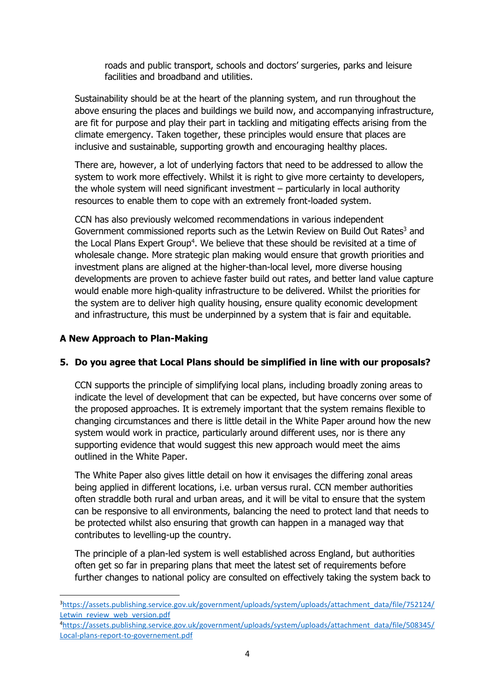roads and public transport, schools and doctors' surgeries, parks and leisure facilities and broadband and utilities.

Sustainability should be at the heart of the planning system, and run throughout the above ensuring the places and buildings we build now, and accompanying infrastructure, are fit for purpose and play their part in tackling and mitigating effects arising from the climate emergency. Taken together, these principles would ensure that places are inclusive and sustainable, supporting growth and encouraging healthy places.

There are, however, a lot of underlying factors that need to be addressed to allow the system to work more effectively. Whilst it is right to give more certainty to developers, the whole system will need significant investment – particularly in local authority resources to enable them to cope with an extremely front-loaded system.

CCN has also previously welcomed recommendations in various independent Government commissioned reports such as the Letwin Review on Build Out Rates<sup>3</sup> and the Local Plans Expert Group<sup>4</sup>. We believe that these should be revisited at a time of wholesale change. More strategic plan making would ensure that growth priorities and investment plans are aligned at the higher-than-local level, more diverse housing developments are proven to achieve faster build out rates, and better land value capture would enable more high-quality infrastructure to be delivered. Whilst the priorities for the system are to deliver high quality housing, ensure quality economic development and infrastructure, this must be underpinned by a system that is fair and equitable.

## **A New Approach to Plan-Making**

## **5. Do you agree that Local Plans should be simplified in line with our proposals?**

CCN supports the principle of simplifying local plans, including broadly zoning areas to indicate the level of development that can be expected, but have concerns over some of the proposed approaches. It is extremely important that the system remains flexible to changing circumstances and there is little detail in the White Paper around how the new system would work in practice, particularly around different uses, nor is there any supporting evidence that would suggest this new approach would meet the aims outlined in the White Paper.

The White Paper also gives little detail on how it envisages the differing zonal areas being applied in different locations, i.e. urban versus rural. CCN member authorities often straddle both rural and urban areas, and it will be vital to ensure that the system can be responsive to all environments, balancing the need to protect land that needs to be protected whilst also ensuring that growth can happen in a managed way that contributes to levelling-up the country.

The principle of a plan-led system is well established across England, but authorities often get so far in preparing plans that meet the latest set of requirements before further changes to national policy are consulted on effectively taking the system back to

3[https://assets.publishing.service.gov.uk/government/uploads/system/uploads/attachment\\_data/file/752124/](https://assets.publishing.service.gov.uk/government/uploads/system/uploads/attachment_data/file/752124/Letwin_review_web_version.pdf) [Letwin\\_review\\_web\\_version.pdf](https://assets.publishing.service.gov.uk/government/uploads/system/uploads/attachment_data/file/752124/Letwin_review_web_version.pdf)

<sup>4</sup>[https://assets.publishing.service.gov.uk/government/uploads/system/uploads/attachment\\_data/file/508345/](https://assets.publishing.service.gov.uk/government/uploads/system/uploads/attachment_data/file/508345/Local-plans-report-to-governement.pdf) [Local-plans-report-to-governement.pdf](https://assets.publishing.service.gov.uk/government/uploads/system/uploads/attachment_data/file/508345/Local-plans-report-to-governement.pdf)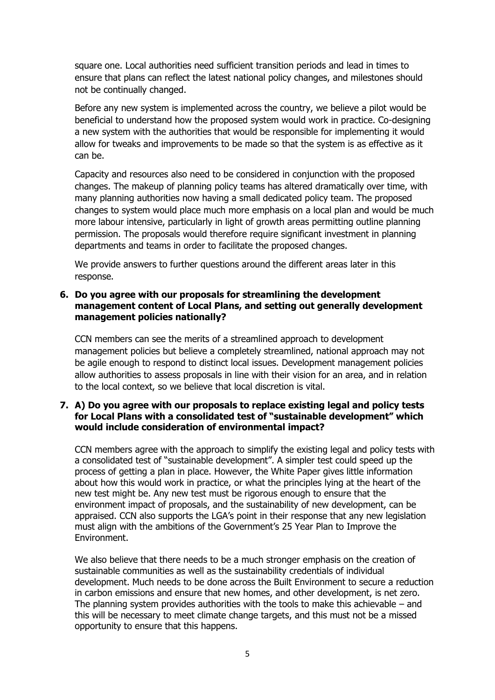square one. Local authorities need sufficient transition periods and lead in times to ensure that plans can reflect the latest national policy changes, and milestones should not be continually changed.

Before any new system is implemented across the country, we believe a pilot would be beneficial to understand how the proposed system would work in practice. Co-designing a new system with the authorities that would be responsible for implementing it would allow for tweaks and improvements to be made so that the system is as effective as it can be.

Capacity and resources also need to be considered in conjunction with the proposed changes. The makeup of planning policy teams has altered dramatically over time, with many planning authorities now having a small dedicated policy team. The proposed changes to system would place much more emphasis on a local plan and would be much more labour intensive, particularly in light of growth areas permitting outline planning permission. The proposals would therefore require significant investment in planning departments and teams in order to facilitate the proposed changes.

We provide answers to further questions around the different areas later in this response.

## **6. Do you agree with our proposals for streamlining the development management content of Local Plans, and setting out generally development management policies nationally?**

CCN members can see the merits of a streamlined approach to development management policies but believe a completely streamlined, national approach may not be agile enough to respond to distinct local issues. Development management policies allow authorities to assess proposals in line with their vision for an area, and in relation to the local context, so we believe that local discretion is vital.

## **7. A) Do you agree with our proposals to replace existing legal and policy tests for Local Plans with a consolidated test of "sustainable development" which would include consideration of environmental impact?**

CCN members agree with the approach to simplify the existing legal and policy tests with a consolidated test of "sustainable development". A simpler test could speed up the process of getting a plan in place. However, the White Paper gives little information about how this would work in practice, or what the principles lying at the heart of the new test might be. Any new test must be rigorous enough to ensure that the environment impact of proposals, and the sustainability of new development, can be appraised. CCN also supports the LGA's point in their response that any new legislation must align with the ambitions of the Government's 25 Year Plan to Improve the Environment.

We also believe that there needs to be a much stronger emphasis on the creation of sustainable communities as well as the sustainability credentials of individual development. Much needs to be done across the Built Environment to secure a reduction in carbon emissions and ensure that new homes, and other development, is net zero. The planning system provides authorities with the tools to make this achievable  $-$  and this will be necessary to meet climate change targets, and this must not be a missed opportunity to ensure that this happens.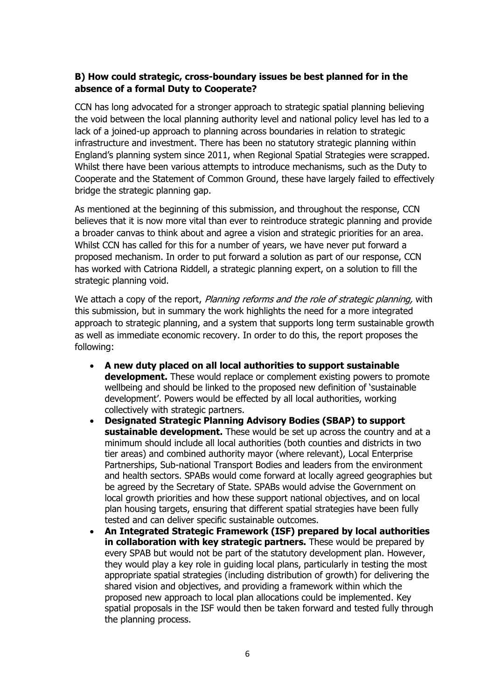## **B) How could strategic, cross-boundary issues be best planned for in the absence of a formal Duty to Cooperate?**

CCN has long advocated for a stronger approach to strategic spatial planning believing the void between the local planning authority level and national policy level has led to a lack of a joined-up approach to planning across boundaries in relation to strategic infrastructure and investment. There has been no statutory strategic planning within England's planning system since 2011, when Regional Spatial Strategies were scrapped. Whilst there have been various attempts to introduce mechanisms, such as the Duty to Cooperate and the Statement of Common Ground, these have largely failed to effectively bridge the strategic planning gap.

As mentioned at the beginning of this submission, and throughout the response, CCN believes that it is now more vital than ever to reintroduce strategic planning and provide a broader canvas to think about and agree a vision and strategic priorities for an area. Whilst CCN has called for this for a number of years, we have never put forward a proposed mechanism. In order to put forward a solution as part of our response, CCN has worked with Catriona Riddell, a strategic planning expert, on a solution to fill the strategic planning void.

We attach a copy of the report, Planning reforms and the role of strategic planning, with this submission, but in summary the work highlights the need for a more integrated approach to strategic planning, and a system that supports long term sustainable growth as well as immediate economic recovery. In order to do this, the report proposes the following:

- **A new duty placed on all local authorities to support sustainable development.** These would replace or complement existing powers to promote wellbeing and should be linked to the proposed new definition of 'sustainable development'. Powers would be effected by all local authorities, working collectively with strategic partners.
- **Designated Strategic Planning Advisory Bodies (SBAP) to support sustainable development.** These would be set up across the country and at a minimum should include all local authorities (both counties and districts in two tier areas) and combined authority mayor (where relevant), Local Enterprise Partnerships, Sub-national Transport Bodies and leaders from the environment and health sectors. SPABs would come forward at locally agreed geographies but be agreed by the Secretary of State. SPABs would advise the Government on local growth priorities and how these support national objectives, and on local plan housing targets, ensuring that different spatial strategies have been fully tested and can deliver specific sustainable outcomes.
- **An Integrated Strategic Framework (ISF) prepared by local authorities in collaboration with key strategic partners.** These would be prepared by every SPAB but would not be part of the statutory development plan. However, they would play a key role in guiding local plans, particularly in testing the most appropriate spatial strategies (including distribution of growth) for delivering the shared vision and objectives, and providing a framework within which the proposed new approach to local plan allocations could be implemented. Key spatial proposals in the ISF would then be taken forward and tested fully through the planning process.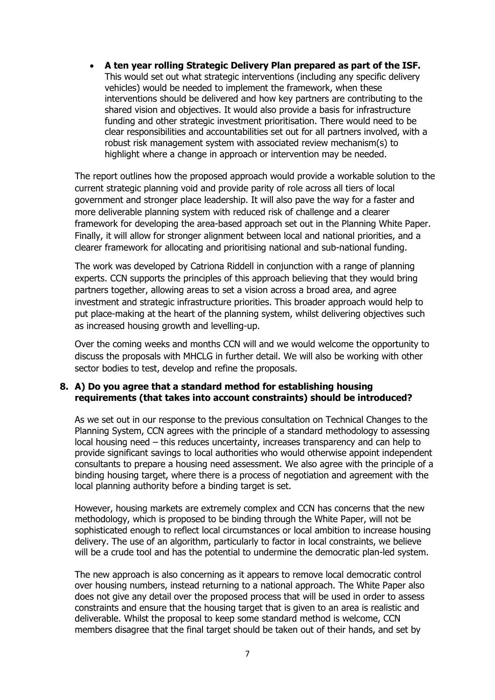• **A ten year rolling Strategic Delivery Plan prepared as part of the ISF.**  This would set out what strategic interventions (including any specific delivery vehicles) would be needed to implement the framework, when these interventions should be delivered and how key partners are contributing to the shared vision and objectives. It would also provide a basis for infrastructure funding and other strategic investment prioritisation. There would need to be clear responsibilities and accountabilities set out for all partners involved, with a robust risk management system with associated review mechanism(s) to highlight where a change in approach or intervention may be needed.

The report outlines how the proposed approach would provide a workable solution to the current strategic planning void and provide parity of role across all tiers of local government and stronger place leadership. It will also pave the way for a faster and more deliverable planning system with reduced risk of challenge and a clearer framework for developing the area-based approach set out in the Planning White Paper. Finally, it will allow for stronger alignment between local and national priorities, and a clearer framework for allocating and prioritising national and sub-national funding.

The work was developed by Catriona Riddell in conjunction with a range of planning experts. CCN supports the principles of this approach believing that they would bring partners together, allowing areas to set a vision across a broad area, and agree investment and strategic infrastructure priorities. This broader approach would help to put place-making at the heart of the planning system, whilst delivering objectives such as increased housing growth and levelling-up.

Over the coming weeks and months CCN will and we would welcome the opportunity to discuss the proposals with MHCLG in further detail. We will also be working with other sector bodies to test, develop and refine the proposals.

## **8. A) Do you agree that a standard method for establishing housing requirements (that takes into account constraints) should be introduced?**

As we set out in our response to the previous consultation on Technical Changes to the Planning System, CCN agrees with the principle of a standard methodology to assessing local housing need – this reduces uncertainty, increases transparency and can help to provide significant savings to local authorities who would otherwise appoint independent consultants to prepare a housing need assessment. We also agree with the principle of a binding housing target, where there is a process of negotiation and agreement with the local planning authority before a binding target is set.

However, housing markets are extremely complex and CCN has concerns that the new methodology, which is proposed to be binding through the White Paper, will not be sophisticated enough to reflect local circumstances or local ambition to increase housing delivery. The use of an algorithm, particularly to factor in local constraints, we believe will be a crude tool and has the potential to undermine the democratic plan-led system.

The new approach is also concerning as it appears to remove local democratic control over housing numbers, instead returning to a national approach. The White Paper also does not give any detail over the proposed process that will be used in order to assess constraints and ensure that the housing target that is given to an area is realistic and deliverable. Whilst the proposal to keep some standard method is welcome, CCN members disagree that the final target should be taken out of their hands, and set by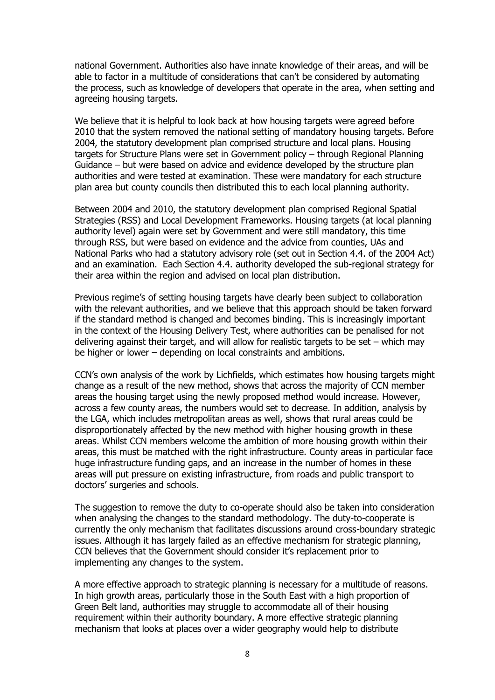national Government. Authorities also have innate knowledge of their areas, and will be able to factor in a multitude of considerations that can't be considered by automating the process, such as knowledge of developers that operate in the area, when setting and agreeing housing targets.

We believe that it is helpful to look back at how housing targets were agreed before 2010 that the system removed the national setting of mandatory housing targets. Before 2004, the statutory development plan comprised structure and local plans. Housing targets for Structure Plans were set in Government policy – through Regional Planning Guidance – but were based on advice and evidence developed by the structure plan authorities and were tested at examination. These were mandatory for each structure plan area but county councils then distributed this to each local planning authority.

Between 2004 and 2010, the statutory development plan comprised Regional Spatial Strategies (RSS) and Local Development Frameworks. Housing targets (at local planning authority level) again were set by Government and were still mandatory, this time through RSS, but were based on evidence and the advice from counties, UAs and National Parks who had a statutory advisory role (set out in Section 4.4. of the 2004 Act) and an examination. Each Section 4.4. authority developed the sub-regional strategy for their area within the region and advised on local plan distribution.

Previous regime's of setting housing targets have clearly been subject to collaboration with the relevant authorities, and we believe that this approach should be taken forward if the standard method is changed and becomes binding. This is increasingly important in the context of the Housing Delivery Test, where authorities can be penalised for not delivering against their target, and will allow for realistic targets to be set – which may be higher or lower – depending on local constraints and ambitions.

CCN's own analysis of the work by Lichfields, which estimates how housing targets might change as a result of the new method, shows that across the majority of CCN member areas the housing target using the newly proposed method would increase. However, across a few county areas, the numbers would set to decrease. In addition, analysis by the LGA, which includes metropolitan areas as well, shows that rural areas could be disproportionately affected by the new method with higher housing growth in these areas. Whilst CCN members welcome the ambition of more housing growth within their areas, this must be matched with the right infrastructure. County areas in particular face huge infrastructure funding gaps, and an increase in the number of homes in these areas will put pressure on existing infrastructure, from roads and public transport to doctors' surgeries and schools.

The suggestion to remove the duty to co-operate should also be taken into consideration when analysing the changes to the standard methodology. The duty-to-cooperate is currently the only mechanism that facilitates discussions around cross-boundary strategic issues. Although it has largely failed as an effective mechanism for strategic planning, CCN believes that the Government should consider it's replacement prior to implementing any changes to the system.

A more effective approach to strategic planning is necessary for a multitude of reasons. In high growth areas, particularly those in the South East with a high proportion of Green Belt land, authorities may struggle to accommodate all of their housing requirement within their authority boundary. A more effective strategic planning mechanism that looks at places over a wider geography would help to distribute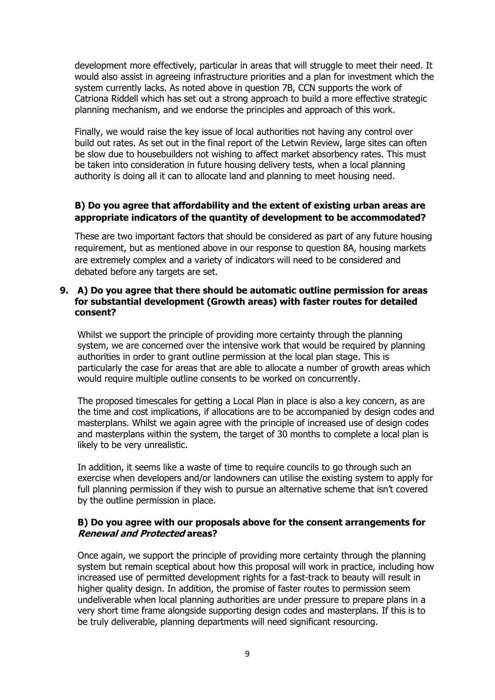development more effectively, particular in areas that will struggle to meet their need. It would also assist in agreeing infrastructure priorities and a plan for investment which the system currently lacks. As noted above in question 7B, CCN supports the work of Catriona Riddell which has set out a strong approach to build a more effective strategic planning mechanism, and we endorse the principles and approach of this work.

Finally, we would raise the key issue of local authorities not having any control over build out rates. As set out in the final report of the Letwin Review, large sites can often be slow due to housebuilders not wishing to affect market absorbency rates. This must be taken into consideration in future housing delivery tests, when a local planning authority is doing all it can to allocate land and planning to meet housing need.

## **B) Do you agree that affordability and the extent of existing urban areas are appropriate indicators of the quantity of development to be accommodated?**

These are two important factors that should be considered as part of any future housing requirement, but as mentioned above in our response to question 8A, housing markets are extremely complex and a variety of indicators will need to be considered and debated before any targets are set.

## **9. A) Do you agree that there should be automatic outline permission for areas for substantial development (Growth areas) with faster routes for detailed consent?**

Whilst we support the principle of providing more certainty through the planning system, we are concerned over the intensive work that would be required by planning authorities in order to grant outline permission at the local plan stage. This is particularly the case for areas that are able to allocate a number of growth areas which would require multiple outline consents to be worked on concurrently.

The proposed timescales for getting a Local Plan in place is also a key concern, as are the time and cost implications, if allocations are to be accompanied by design codes and masterplans. Whilst we again agree with the principle of increased use of design codes and masterplans within the system, the target of 30 months to complete a local plan is likely to be very unrealistic.

In addition, it seems like a waste of time to require councils to go through such an exercise when developers and/or landowners can utilise the existing system to apply for full planning permission if they wish to pursue an alternative scheme that isn't covered by the outline permission in place.

## **B) Do you agree with our proposals above for the consent arrangements for Renewal and Protected areas?**

Once again, we support the principle of providing more certainty through the planning system but remain sceptical about how this proposal will work in practice, including how increased use of permitted development rights for a fast-track to beauty will result in higher quality design. In addition, the promise of faster routes to permission seem undeliverable when local planning authorities are under pressure to prepare plans in a very short time frame alongside supporting design codes and masterplans. If this is to be truly deliverable, planning departments will need significant resourcing.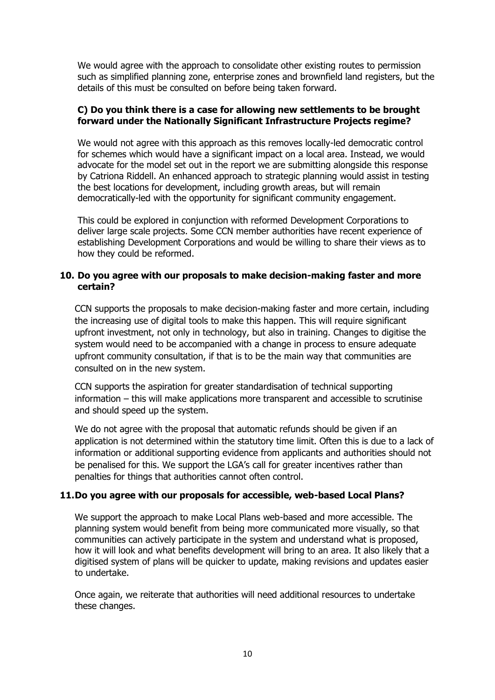We would agree with the approach to consolidate other existing routes to permission such as simplified planning zone, enterprise zones and brownfield land registers, but the details of this must be consulted on before being taken forward.

## **C) Do you think there is a case for allowing new settlements to be brought forward under the Nationally Significant Infrastructure Projects regime?**

We would not agree with this approach as this removes locally-led democratic control for schemes which would have a significant impact on a local area. Instead, we would advocate for the model set out in the report we are submitting alongside this response by Catriona Riddell. An enhanced approach to strategic planning would assist in testing the best locations for development, including growth areas, but will remain democratically-led with the opportunity for significant community engagement.

This could be explored in conjunction with reformed Development Corporations to deliver large scale projects. Some CCN member authorities have recent experience of establishing Development Corporations and would be willing to share their views as to how they could be reformed.

## **10. Do you agree with our proposals to make decision-making faster and more certain?**

CCN supports the proposals to make decision-making faster and more certain, including the increasing use of digital tools to make this happen. This will require significant upfront investment, not only in technology, but also in training. Changes to digitise the system would need to be accompanied with a change in process to ensure adequate upfront community consultation, if that is to be the main way that communities are consulted on in the new system.

CCN supports the aspiration for greater standardisation of technical supporting information – this will make applications more transparent and accessible to scrutinise and should speed up the system.

We do not agree with the proposal that automatic refunds should be given if an application is not determined within the statutory time limit. Often this is due to a lack of information or additional supporting evidence from applicants and authorities should not be penalised for this. We support the LGA's call for greater incentives rather than penalties for things that authorities cannot often control.

## **11.Do you agree with our proposals for accessible, web-based Local Plans?**

We support the approach to make Local Plans web-based and more accessible. The planning system would benefit from being more communicated more visually, so that communities can actively participate in the system and understand what is proposed, how it will look and what benefits development will bring to an area. It also likely that a digitised system of plans will be quicker to update, making revisions and updates easier to undertake.

Once again, we reiterate that authorities will need additional resources to undertake these changes.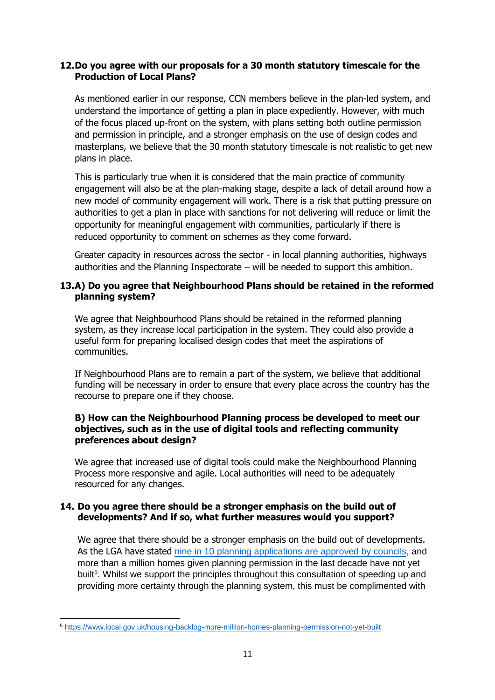## **12.Do you agree with our proposals for a 30 month statutory timescale for the Production of Local Plans?**

As mentioned earlier in our response, CCN members believe in the plan-led system, and understand the importance of getting a plan in place expediently. However, with much of the focus placed up-front on the system, with plans setting both outline permission and permission in principle, and a stronger emphasis on the use of design codes and masterplans, we believe that the 30 month statutory timescale is not realistic to get new plans in place.

This is particularly true when it is considered that the main practice of community engagement will also be at the plan-making stage, despite a lack of detail around how a new model of community engagement will work. There is a risk that putting pressure on authorities to get a plan in place with sanctions for not delivering will reduce or limit the opportunity for meaningful engagement with communities, particularly if there is reduced opportunity to comment on schemes as they come forward.

Greater capacity in resources across the sector - in local planning authorities, highways authorities and the Planning Inspectorate – will be needed to support this ambition.

## **13.A) Do you agree that Neighbourhood Plans should be retained in the reformed planning system?**

We agree that Neighbourhood Plans should be retained in the reformed planning system, as they increase local participation in the system. They could also provide a useful form for preparing localised design codes that meet the aspirations of communities.

If Neighbourhood Plans are to remain a part of the system, we believe that additional funding will be necessary in order to ensure that every place across the country has the recourse to prepare one if they choose.

## **B) How can the Neighbourhood Planning process be developed to meet our objectives, such as in the use of digital tools and reflecting community preferences about design?**

We agree that increased use of digital tools could make the Neighbourhood Planning Process more responsive and agile. Local authorities will need to be adequately resourced for any changes.

## **14. Do you agree there should be a stronger emphasis on the build out of developments? And if so, what further measures would you support?**

We agree that there should be a stronger emphasis on the build out of developments. As the LGA have stated nine in 10 planning applications are [approved by councils,](https://www.local.gov.uk/housing-backlog-more-million-homes-planning-permission-not-yet-built) and more than a million homes given planning permission in the last decade have not yet built<sup>5</sup>. Whilst we support the principles throughout this consultation of speeding up and providing more certainty through the planning system, this must be complimented with

<sup>5</sup> <https://www.local.gov.uk/housing-backlog-more-million-homes-planning-permission-not-yet-built>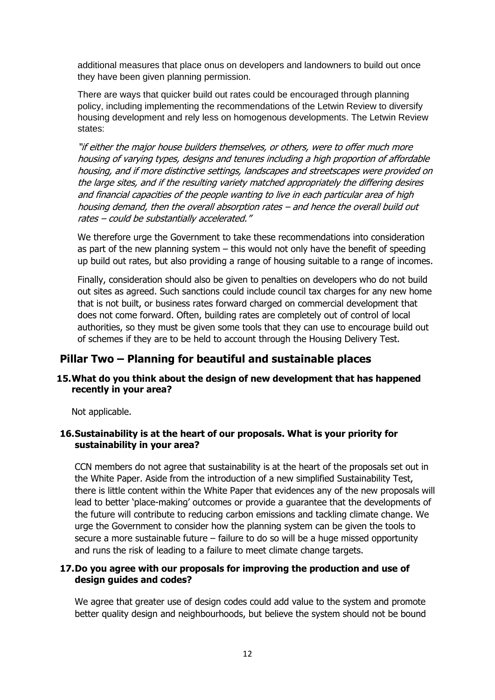additional measures that place onus on developers and landowners to build out once they have been given planning permission.

There are ways that quicker build out rates could be encouraged through planning policy, including implementing the recommendations of the Letwin Review to diversify housing development and rely less on homogenous developments. The Letwin Review states:

"if either the major house builders themselves, or others, were to offer much more housing of varying types, designs and tenures including a high proportion of affordable housing, and if more distinctive settings, landscapes and streetscapes were provided on the large sites, and if the resulting variety matched appropriately the differing desires and financial capacities of the people wanting to live in each particular area of high housing demand, then the overall absorption rates – and hence the overall build out rates – could be substantially accelerated."

We therefore urge the Government to take these recommendations into consideration as part of the new planning system – this would not only have the benefit of speeding up build out rates, but also providing a range of housing suitable to a range of incomes.

Finally, consideration should also be given to penalties on developers who do not build out sites as agreed. Such sanctions could include council tax charges for any new home that is not built, or business rates forward charged on commercial development that does not come forward. Often, building rates are completely out of control of local authorities, so they must be given some tools that they can use to encourage build out of schemes if they are to be held to account through the Housing Delivery Test.

## **Pillar Two – Planning for beautiful and sustainable places**

## **15.What do you think about the design of new development that has happened recently in your area?**

Not applicable.

## **16.Sustainability is at the heart of our proposals. What is your priority for sustainability in your area?**

CCN members do not agree that sustainability is at the heart of the proposals set out in the White Paper. Aside from the introduction of a new simplified Sustainability Test, there is little content within the White Paper that evidences any of the new proposals will lead to better 'place-making' outcomes or provide a guarantee that the developments of the future will contribute to reducing carbon emissions and tackling climate change. We urge the Government to consider how the planning system can be given the tools to secure a more sustainable future – failure to do so will be a huge missed opportunity and runs the risk of leading to a failure to meet climate change targets.

## **17.Do you agree with our proposals for improving the production and use of design guides and codes?**

We agree that greater use of design codes could add value to the system and promote better quality design and neighbourhoods, but believe the system should not be bound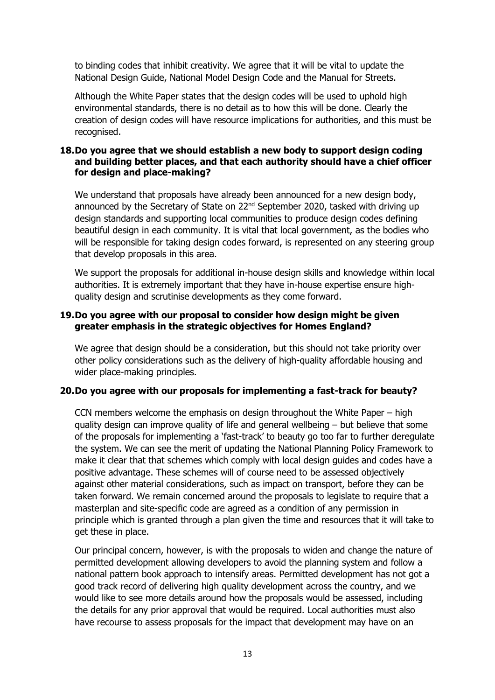to binding codes that inhibit creativity. We agree that it will be vital to update the National Design Guide, National Model Design Code and the Manual for Streets.

Although the White Paper states that the design codes will be used to uphold high environmental standards, there is no detail as to how this will be done. Clearly the creation of design codes will have resource implications for authorities, and this must be recognised.

## **18.Do you agree that we should establish a new body to support design coding and building better places, and that each authority should have a chief officer for design and place-making?**

We understand that proposals have already been announced for a new design body, announced by the Secretary of State on 22<sup>nd</sup> September 2020, tasked with driving up design standards and supporting local communities to produce design codes defining beautiful design in each community. It is vital that local government, as the bodies who will be responsible for taking design codes forward, is represented on any steering group that develop proposals in this area.

We support the proposals for additional in-house design skills and knowledge within local authorities. It is extremely important that they have in-house expertise ensure highquality design and scrutinise developments as they come forward.

## **19.Do you agree with our proposal to consider how design might be given greater emphasis in the strategic objectives for Homes England?**

We agree that design should be a consideration, but this should not take priority over other policy considerations such as the delivery of high-quality affordable housing and wider place-making principles.

#### **20.Do you agree with our proposals for implementing a fast-track for beauty?**

CCN members welcome the emphasis on design throughout the White Paper – high quality design can improve quality of life and general wellbeing – but believe that some of the proposals for implementing a 'fast-track' to beauty go too far to further deregulate the system. We can see the merit of updating the National Planning Policy Framework to make it clear that that schemes which comply with local design guides and codes have a positive advantage. These schemes will of course need to be assessed objectively against other material considerations, such as impact on transport, before they can be taken forward. We remain concerned around the proposals to legislate to require that a masterplan and site-specific code are agreed as a condition of any permission in principle which is granted through a plan given the time and resources that it will take to get these in place.

Our principal concern, however, is with the proposals to widen and change the nature of permitted development allowing developers to avoid the planning system and follow a national pattern book approach to intensify areas. Permitted development has not got a good track record of delivering high quality development across the country, and we would like to see more details around how the proposals would be assessed, including the details for any prior approval that would be required. Local authorities must also have recourse to assess proposals for the impact that development may have on an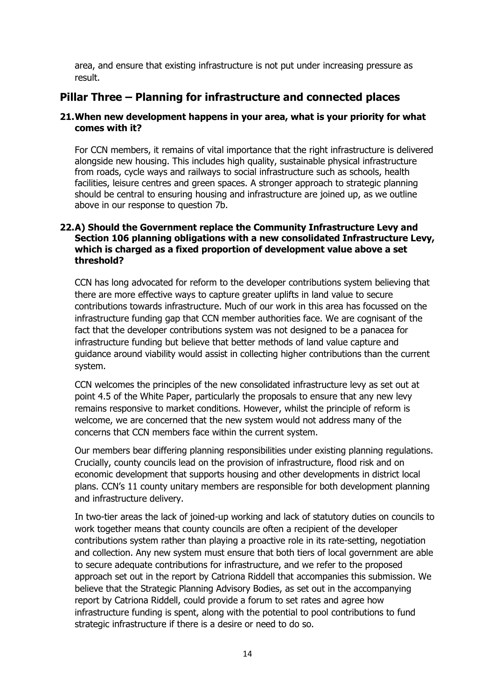area, and ensure that existing infrastructure is not put under increasing pressure as result.

## **Pillar Three – Planning for infrastructure and connected places**

## **21.When new development happens in your area, what is your priority for what comes with it?**

For CCN members, it remains of vital importance that the right infrastructure is delivered alongside new housing. This includes high quality, sustainable physical infrastructure from roads, cycle ways and railways to social infrastructure such as schools, health facilities, leisure centres and green spaces. A stronger approach to strategic planning should be central to ensuring housing and infrastructure are joined up, as we outline above in our response to question 7b.

## **22.A) Should the Government replace the Community Infrastructure Levy and Section 106 planning obligations with a new consolidated Infrastructure Levy, which is charged as a fixed proportion of development value above a set threshold?**

CCN has long advocated for reform to the developer contributions system believing that there are more effective ways to capture greater uplifts in land value to secure contributions towards infrastructure. Much of our work in this area has focussed on the infrastructure funding gap that CCN member authorities face. We are cognisant of the fact that the developer contributions system was not designed to be a panacea for infrastructure funding but believe that better methods of land value capture and guidance around viability would assist in collecting higher contributions than the current system.

CCN welcomes the principles of the new consolidated infrastructure levy as set out at point 4.5 of the White Paper, particularly the proposals to ensure that any new levy remains responsive to market conditions. However, whilst the principle of reform is welcome, we are concerned that the new system would not address many of the concerns that CCN members face within the current system.

Our members bear differing planning responsibilities under existing planning regulations. Crucially, county councils lead on the provision of infrastructure, flood risk and on economic development that supports housing and other developments in district local plans. CCN's 11 county unitary members are responsible for both development planning and infrastructure delivery.

In two-tier areas the lack of joined-up working and lack of statutory duties on councils to work together means that county councils are often a recipient of the developer contributions system rather than playing a proactive role in its rate-setting, negotiation and collection. Any new system must ensure that both tiers of local government are able to secure adequate contributions for infrastructure, and we refer to the proposed approach set out in the report by Catriona Riddell that accompanies this submission. We believe that the Strategic Planning Advisory Bodies, as set out in the accompanying report by Catriona Riddell, could provide a forum to set rates and agree how infrastructure funding is spent, along with the potential to pool contributions to fund strategic infrastructure if there is a desire or need to do so.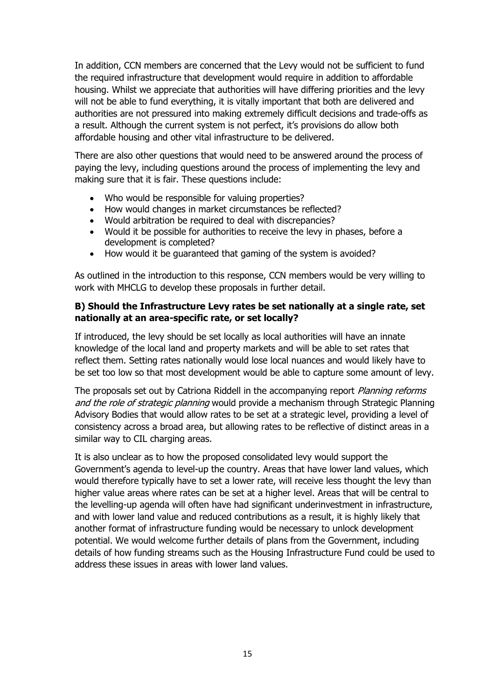In addition, CCN members are concerned that the Levy would not be sufficient to fund the required infrastructure that development would require in addition to affordable housing. Whilst we appreciate that authorities will have differing priorities and the levy will not be able to fund everything, it is vitally important that both are delivered and authorities are not pressured into making extremely difficult decisions and trade-offs as a result. Although the current system is not perfect, it's provisions do allow both affordable housing and other vital infrastructure to be delivered.

There are also other questions that would need to be answered around the process of paying the levy, including questions around the process of implementing the levy and making sure that it is fair. These questions include:

- Who would be responsible for valuing properties?
- How would changes in market circumstances be reflected?
- Would arbitration be required to deal with discrepancies?
- Would it be possible for authorities to receive the levy in phases, before a development is completed?
- How would it be guaranteed that gaming of the system is avoided?

As outlined in the introduction to this response, CCN members would be very willing to work with MHCLG to develop these proposals in further detail.

## **B) Should the Infrastructure Levy rates be set nationally at a single rate, set nationally at an area-specific rate, or set locally?**

If introduced, the levy should be set locally as local authorities will have an innate knowledge of the local land and property markets and will be able to set rates that reflect them. Setting rates nationally would lose local nuances and would likely have to be set too low so that most development would be able to capture some amount of levy.

The proposals set out by Catriona Riddell in the accompanying report *Planning reforms* and the role of strategic planning would provide a mechanism through Strategic Planning Advisory Bodies that would allow rates to be set at a strategic level, providing a level of consistency across a broad area, but allowing rates to be reflective of distinct areas in a similar way to CIL charging areas.

It is also unclear as to how the proposed consolidated levy would support the Government's agenda to level-up the country. Areas that have lower land values, which would therefore typically have to set a lower rate, will receive less thought the levy than higher value areas where rates can be set at a higher level. Areas that will be central to the levelling-up agenda will often have had significant underinvestment in infrastructure, and with lower land value and reduced contributions as a result, it is highly likely that another format of infrastructure funding would be necessary to unlock development potential. We would welcome further details of plans from the Government, including details of how funding streams such as the Housing Infrastructure Fund could be used to address these issues in areas with lower land values.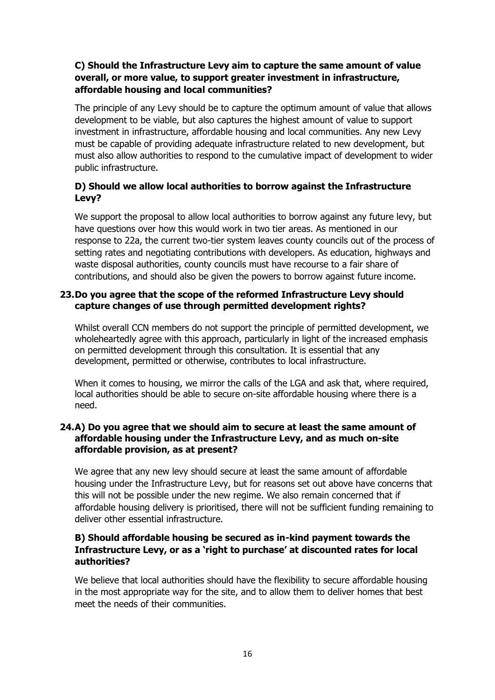## **C) Should the Infrastructure Levy aim to capture the same amount of value overall, or more value, to support greater investment in infrastructure, affordable housing and local communities?**

The principle of any Levy should be to capture the optimum amount of value that allows development to be viable, but also captures the highest amount of value to support investment in infrastructure, affordable housing and local communities. Any new Levy must be capable of providing adequate infrastructure related to new development, but must also allow authorities to respond to the cumulative impact of development to wider public infrastructure.

## **D) Should we allow local authorities to borrow against the Infrastructure Levy?**

We support the proposal to allow local authorities to borrow against any future levy, but have questions over how this would work in two tier areas. As mentioned in our response to 22a, the current two-tier system leaves county councils out of the process of setting rates and negotiating contributions with developers. As education, highways and waste disposal authorities, county councils must have recourse to a fair share of contributions, and should also be given the powers to borrow against future income.

## **23.Do you agree that the scope of the reformed Infrastructure Levy should capture changes of use through permitted development rights?**

Whilst overall CCN members do not support the principle of permitted development, we wholeheartedly agree with this approach, particularly in light of the increased emphasis on permitted development through this consultation. It is essential that any development, permitted or otherwise, contributes to local infrastructure.

When it comes to housing, we mirror the calls of the LGA and ask that, where required, local authorities should be able to secure on-site affordable housing where there is a need.

## **24.A) Do you agree that we should aim to secure at least the same amount of affordable housing under the Infrastructure Levy, and as much on-site affordable provision, as at present?**

We agree that any new levy should secure at least the same amount of affordable housing under the Infrastructure Levy, but for reasons set out above have concerns that this will not be possible under the new regime. We also remain concerned that if affordable housing delivery is prioritised, there will not be sufficient funding remaining to deliver other essential infrastructure.

## **B) Should affordable housing be secured as in-kind payment towards the Infrastructure Levy, or as a 'right to purchase' at discounted rates for local authorities?**

We believe that local authorities should have the flexibility to secure affordable housing in the most appropriate way for the site, and to allow them to deliver homes that best meet the needs of their communities.